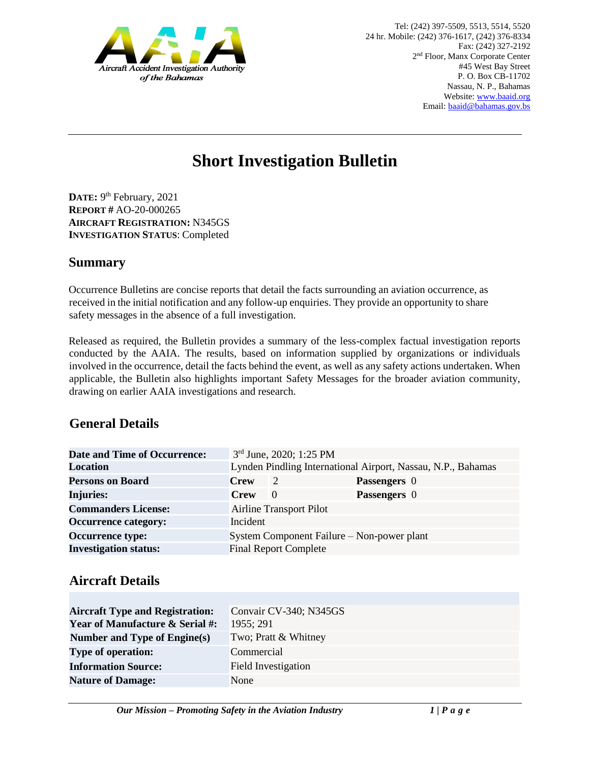

# **Short Investigation Bulletin**

DATE: 9<sup>th</sup> February, 2021 **REPORT #** AO-20-000265 **AIRCRAFT REGISTRATION:** N345GS **INVESTIGATION STATUS**: Completed

#### **Summary**

Occurrence Bulletins are concise reports that detail the facts surrounding an aviation occurrence, as received in the initial notification and any follow-up enquiries. They provide an opportunity to share safety messages in the absence of a full investigation*.* 

Released as required, the Bulletin provides a summary of the less-complex factual investigation reports conducted by the AAIA. The results, based on information supplied by organizations or individuals involved in the occurrence, detail the facts behind the event, as well as any safety actions undertaken. When applicable, the Bulletin also highlights important Safety Messages for the broader aviation community, drawing on earlier AAIA investigations and research.

#### **General Details**

| <b>Date and Time of Occurrence:</b> |                                                              | 3rd June, 2020; 1:25 PM                    |                     |
|-------------------------------------|--------------------------------------------------------------|--------------------------------------------|---------------------|
| <b>Location</b>                     | Lynden Pindling International Airport, Nassau, N.P., Bahamas |                                            |                     |
| <b>Persons on Board</b>             | <b>Crew</b>                                                  | 2                                          | <b>Passengers</b> 0 |
| <b>Injuries:</b>                    | <b>Crew</b>                                                  | $\Omega$                                   | <b>Passengers</b> 0 |
| <b>Commanders License:</b>          | <b>Airline Transport Pilot</b>                               |                                            |                     |
| <b>Occurrence category:</b>         | Incident                                                     |                                            |                     |
| <b>Occurrence type:</b>             |                                                              | System Component Failure – Non-power plant |                     |
| <b>Investigation status:</b>        |                                                              | <b>Final Report Complete</b>               |                     |

## **Aircraft Details**

| <b>Aircraft Type and Registration:</b>     | Convair CV-340; N345GS     |  |  |
|--------------------------------------------|----------------------------|--|--|
| <b>Year of Manufacture &amp; Serial #:</b> | 1955; 291                  |  |  |
| Number and Type of Engine(s)               | Two; Pratt & Whitney       |  |  |
| <b>Type of operation:</b>                  | Commercial                 |  |  |
| <b>Information Source:</b>                 | <b>Field Investigation</b> |  |  |
| <b>Nature of Damage:</b>                   | None                       |  |  |